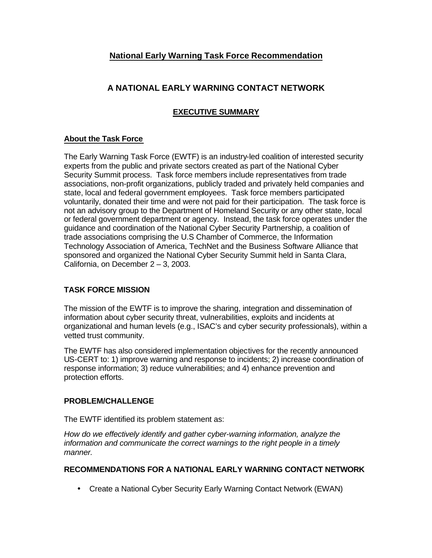# **National Early Warning Task Force Recommendation**

## **A NATIONAL EARLY WARNING CONTACT NETWORK**

### **EXECUTIVE SUMMARY**

#### **About the Task Force**

The Early Warning Task Force (EWTF) is an industry-led coalition of interested security experts from the public and private sectors created as part of the National Cyber Security Summit process. Task force members include representatives from trade associations, non-profit organizations, publicly traded and privately held companies and state, local and federal government employees. Task force members participated voluntarily, donated their time and were not paid for their participation. The task force is not an advisory group to the Department of Homeland Security or any other state, local or federal government department or agency. Instead, the task force operates under the guidance and coordination of the National Cyber Security Partnership, a coalition of trade associations comprising the U.S Chamber of Commerce, the Information Technology Association of America, TechNet and the Business Software Alliance that sponsored and organized the National Cyber Security Summit held in Santa Clara, California, on December 2 – 3, 2003.

#### **TASK FORCE MISSION**

The mission of the EWTF is to improve the sharing, integration and dissemination of information about cyber security threat, vulnerabilities, exploits and incidents at organizational and human levels (e.g., ISAC's and cyber security professionals), within a vetted trust community.

The EWTF has also considered implementation objectives for the recently announced US-CERT to: 1) improve warning and response to incidents; 2) increase coordination of response information; 3) reduce vulnerabilities; and 4) enhance prevention and protection efforts.

#### **PROBLEM/CHALLENGE**

The EWTF identified its problem statement as:

*How do we effectively identify and gather cyber-warning information, analyze the information and communicate the correct warnings to the right people in a timely manner.*

#### **RECOMMENDATIONS FOR A NATIONAL EARLY WARNING CONTACT NETWORK**

• Create a National Cyber Security Early Warning Contact Network (EWAN)